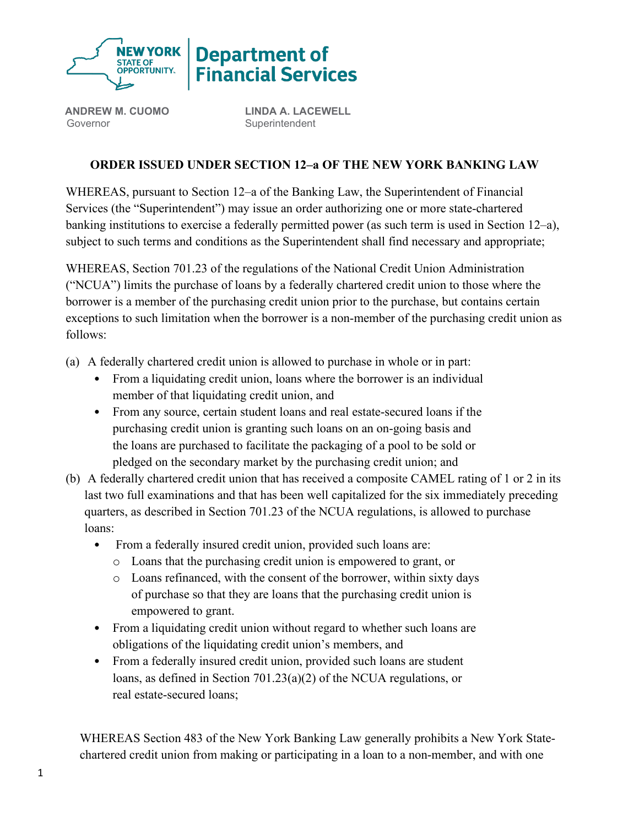

**ANDREW M. CUOMO** Governor

**LINDA A. LACEWELL Superintendent** 

## **ORDER ISSUED UNDER SECTION 12–a OF THE NEW YORK BANKING LAW**

WHEREAS, pursuant to Section 12–a of the Banking Law, the Superintendent of Financial Services (the "Superintendent") may issue an order authorizing one or more state-chartered banking institutions to exercise a federally permitted power (as such term is used in Section 12–a), subject to such terms and conditions as the Superintendent shall find necessary and appropriate;

WHEREAS, Section 701.23 of the regulations of the National Credit Union Administration ("NCUA") limits the purchase of loans by a federally chartered credit union to those where the borrower is a member of the purchasing credit union prior to the purchase, but contains certain exceptions to such limitation when the borrower is a non-member of the purchasing credit union as follows:

- (a) A federally chartered credit union is allowed to purchase in whole or in part:
	- From a liquidating credit union, loans where the borrower is an individual member of that liquidating credit union, and
	- From any source, certain student loans and real estate-secured loans if the purchasing credit union is granting such loans on an on-going basis and the loans are purchased to facilitate the packaging of a pool to be sold or pledged on the secondary market by the purchasing credit union; and
- (b) A federally chartered credit union that has received a composite CAMEL rating of 1 or 2 in its last two full examinations and that has been well capitalized for the six immediately preceding quarters, as described in Section 701.23 of the NCUA regulations, is allowed to purchase loans:
	- From a federally insured credit union, provided such loans are:
		- o Loans that the purchasing credit union is empowered to grant, or
		- o Loans refinanced, with the consent of the borrower, within sixty days of purchase so that they are loans that the purchasing credit union is empowered to grant.
	- From a liquidating credit union without regard to whether such loans are obligations of the liquidating credit union's members, and
	- From a federally insured credit union, provided such loans are student loans, as defined in Section 701.23(a)(2) of the NCUA regulations, or real estate-secured loans;

WHEREAS Section 483 of the New York Banking Law generally prohibits a New York Statechartered credit union from making or participating in a loan to a non-member, and with one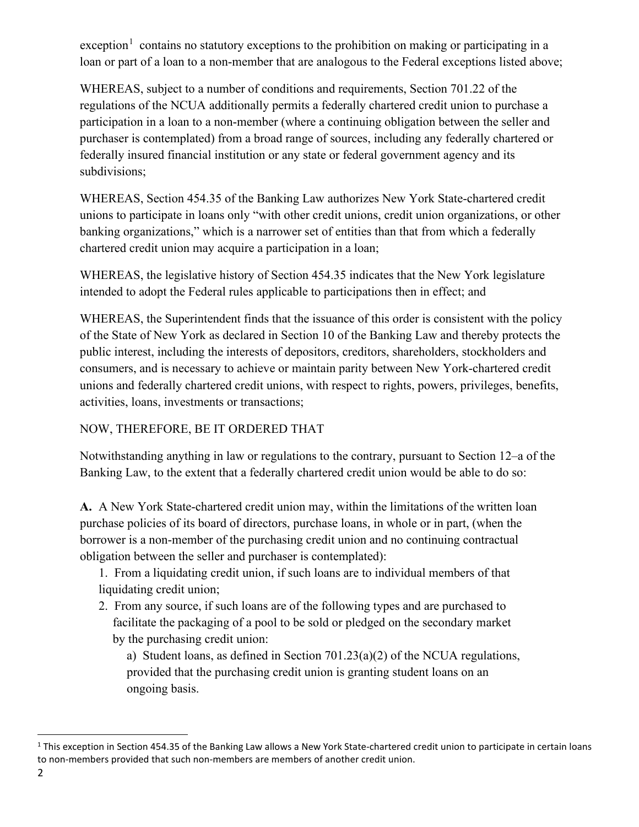exception<sup>[1](#page-1-0)</sup> contains no statutory exceptions to the prohibition on making or participating in a loan or part of a loan to a non-member that are analogous to the Federal exceptions listed above;

WHEREAS, subject to a number of conditions and requirements, Section 701.22 of the regulations of the NCUA additionally permits a federally chartered credit union to purchase a participation in a loan to a non-member (where a continuing obligation between the seller and purchaser is contemplated) from a broad range of sources, including any federally chartered or federally insured financial institution or any state or federal government agency and its subdivisions;

WHEREAS, Section 454.35 of the Banking Law authorizes New York State-chartered credit unions to participate in loans only "with other credit unions, credit union organizations, or other banking organizations," which is a narrower set of entities than that from which a federally chartered credit union may acquire a participation in a loan;

WHEREAS, the legislative history of Section 454.35 indicates that the New York legislature intended to adopt the Federal rules applicable to participations then in effect; and

WHEREAS, the Superintendent finds that the issuance of this order is consistent with the policy of the State of New York as declared in Section 10 of the Banking Law and thereby protects the public interest, including the interests of depositors, creditors, shareholders, stockholders and consumers, and is necessary to achieve or maintain parity between New York-chartered credit unions and federally chartered credit unions, with respect to rights, powers, privileges, benefits, activities, loans, investments or transactions;

## NOW, THEREFORE, BE IT ORDERED THAT

Notwithstanding anything in law or regulations to the contrary, pursuant to Section 12–a of the Banking Law, to the extent that a federally chartered credit union would be able to do so:

**A.** A New York State-chartered credit union may, within the limitations of the written loan purchase policies of its board of directors, purchase loans, in whole or in part, (when the borrower is a non-member of the purchasing credit union and no continuing contractual obligation between the seller and purchaser is contemplated):

1. From a liquidating credit union, if such loans are to individual members of that liquidating credit union;

2. From any source, if such loans are of the following types and are purchased to facilitate the packaging of a pool to be sold or pledged on the secondary market by the purchasing credit union:

a) Student loans, as defined in Section 701.23(a)(2) of the NCUA regulations, provided that the purchasing credit union is granting student loans on an ongoing basis.

<span id="page-1-0"></span><sup>&</sup>lt;sup>1</sup> This exception in Section 454.35 of the Banking Law allows a New York State-chartered credit union to participate in certain loans to non-members provided that such non-members are members of another credit union.